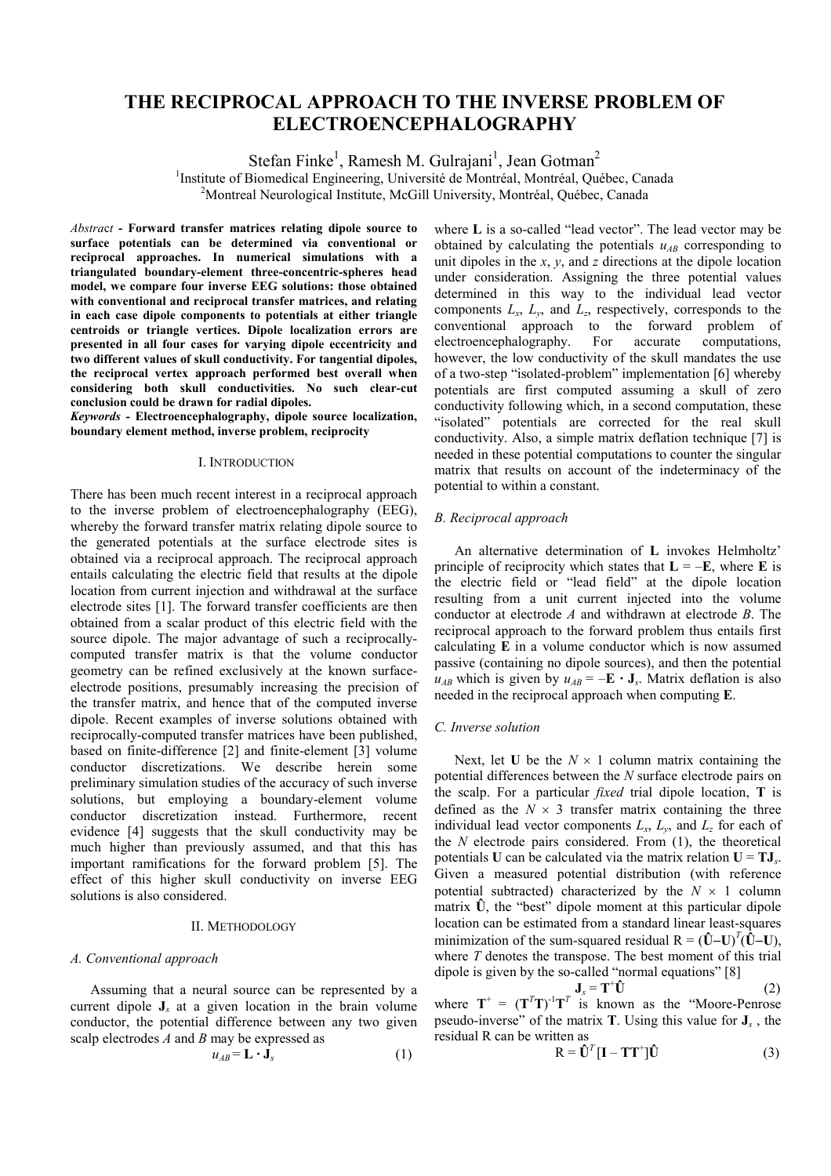# **THE RECIPROCAL APPROACH TO THE INVERSE PROBLEM OF ELECTROENCEPHALOGRAPHY**

Stefan Finke<sup>1</sup>, Ramesh M. Gulrajani<sup>1</sup>, Jean Gotman<sup>2</sup>

<sup>1</sup>Institute of Biomedical Engineering, Université de Montréal, Montréal, Québec, Canada<br><sup>2</sup>Montreal Nauralegiael Institute, MoGill University, Montréal, Québec, Canada <sup>2</sup>Montreal Neurological Institute, McGill University, Montréal, Québec, Canada

*Abstra*c*t* **- Forward transfer matrices relating dipole source to surface potentials can be determined via conventional or reciprocal approaches. In numerical simulations with a triangulated boundary-element three-concentric-spheres head model, we compare four inverse EEG solutions: those obtained with conventional and reciprocal transfer matrices, and relating in each case dipole components to potentials at either triangle centroids or triangle vertices. Dipole localization errors are presented in all four cases for varying dipole eccentricity and two different values of skull conductivity. For tangential dipoles, the reciprocal vertex approach performed best overall when considering both skull conductivities. No such clear-cut conclusion could be drawn for radial dipoles.**

*Keywords -* **Electroencephalography, dipole source localization, boundary element method, inverse problem, reciprocity**

## I. INTRODUCTION

There has been much recent interest in a reciprocal approach to the inverse problem of electroencephalography (EEG), whereby the forward transfer matrix relating dipole source to the generated potentials at the surface electrode sites is obtained via a reciprocal approach. The reciprocal approach entails calculating the electric field that results at the dipole location from current injection and withdrawal at the surface electrode sites [1]. The forward transfer coefficients are then obtained from a scalar product of this electric field with the source dipole. The major advantage of such a reciprocallycomputed transfer matrix is that the volume conductor geometry can be refined exclusively at the known surfaceelectrode positions, presumably increasing the precision of the transfer matrix, and hence that of the computed inverse dipole. Recent examples of inverse solutions obtained with reciprocally-computed transfer matrices have been published, based on finite-difference [2] and finite-element [3] volume conductor discretizations. We describe herein some preliminary simulation studies of the accuracy of such inverse solutions, but employing a boundary-element volume conductor discretization instead. Furthermore, recent evidence [4] suggests that the skull conductivity may be much higher than previously assumed, and that this has important ramifications for the forward problem [5]. The effect of this higher skull conductivity on inverse EEG solutions is also considered.

# II. METHODOLOGY

#### *A. Conventional approach*

Assuming that a neural source can be represented by a current dipole **J***s* at a given location in the brain volume conductor, the potential difference between any two given scalp electrodes *A* and *B* may be expressed as

$$
u_{AB} = \mathbf{L} \cdot \mathbf{J}_s \tag{1}
$$

where **L** is a so-called "lead vector". The lead vector may be obtained by calculating the potentials  $u_{AB}$  corresponding to unit dipoles in the *x*, *y*, and *z* directions at the dipole location under consideration. Assigning the three potential values determined in this way to the individual lead vector components  $L_x$ ,  $L_y$ , and  $L_z$ , respectively, corresponds to the conventional approach to the forward problem of electroencephalography. For accurate computations, however, the low conductivity of the skull mandates the use of a two-step "isolated-problem" implementation [6] whereby potentials are first computed assuming a skull of zero conductivity following which, in a second computation, these "isolated" potentials are corrected for the real skull conductivity. Also, a simple matrix deflation technique [7] is needed in these potential computations to counter the singular matrix that results on account of the indeterminacy of the potential to within a constant.

# *B. Reciprocal approach*

An alternative determination of **L** invokes Helmholtz' principle of reciprocity which states that  $L = -E$ , where **E** is the electric field or "lead field" at the dipole location resulting from a unit current injected into the volume conductor at electrode *A* and withdrawn at electrode *B*. The reciprocal approach to the forward problem thus entails first calculating **E** in a volume conductor which is now assumed passive (containing no dipole sources), and then the potential  $u_{AB}$  which is given by  $u_{AB} = -\mathbf{E} \cdot \mathbf{J}_s$ . Matrix deflation is also needed in the reciprocal approach when computing **E**.

# *C. Inverse solution*

Next, let **U** be the  $N \times 1$  column matrix containing the potential differences between the *N* surface electrode pairs on the scalp. For a particular *fixed* trial dipole location, **T** is defined as the  $N \times 3$  transfer matrix containing the three individual lead vector components  $L_x$ ,  $L_y$ , and  $L_z$  for each of the *N* electrode pairs considered. From (1), the theoretical potentials **U** can be calculated via the matrix relation  $U = TJ_s$ . Given a measured potential distribution (with reference potential subtracted) characterized by the  $N \times 1$  column matrix  $\hat{U}$ , the "best" dipole moment at this particular dipole location can be estimated from a standard linear least-squares minimization of the sum-squared residual  $R = (\hat{U} - U)^T (\hat{U} - U)$ , where *T* denotes the transpose. The best moment of this trial dipole is given by the so-called "normal equations" [8]

$$
\mathbf{J}_s = \mathbf{T}^+ \hat{\mathbf{U}} \tag{2}
$$

where  $T^+ = (T^T T)^{-1} T^T$  is known as the "Moore-Penrose" pseudo-inverse" of the matrix **T**. Using this value for **J***s* , the residual R can be written as

$$
\mathbf{R} = \mathbf{\hat{U}}^T [\mathbf{I} - \mathbf{T}\mathbf{T}^+] \mathbf{\hat{U}}
$$
 (3)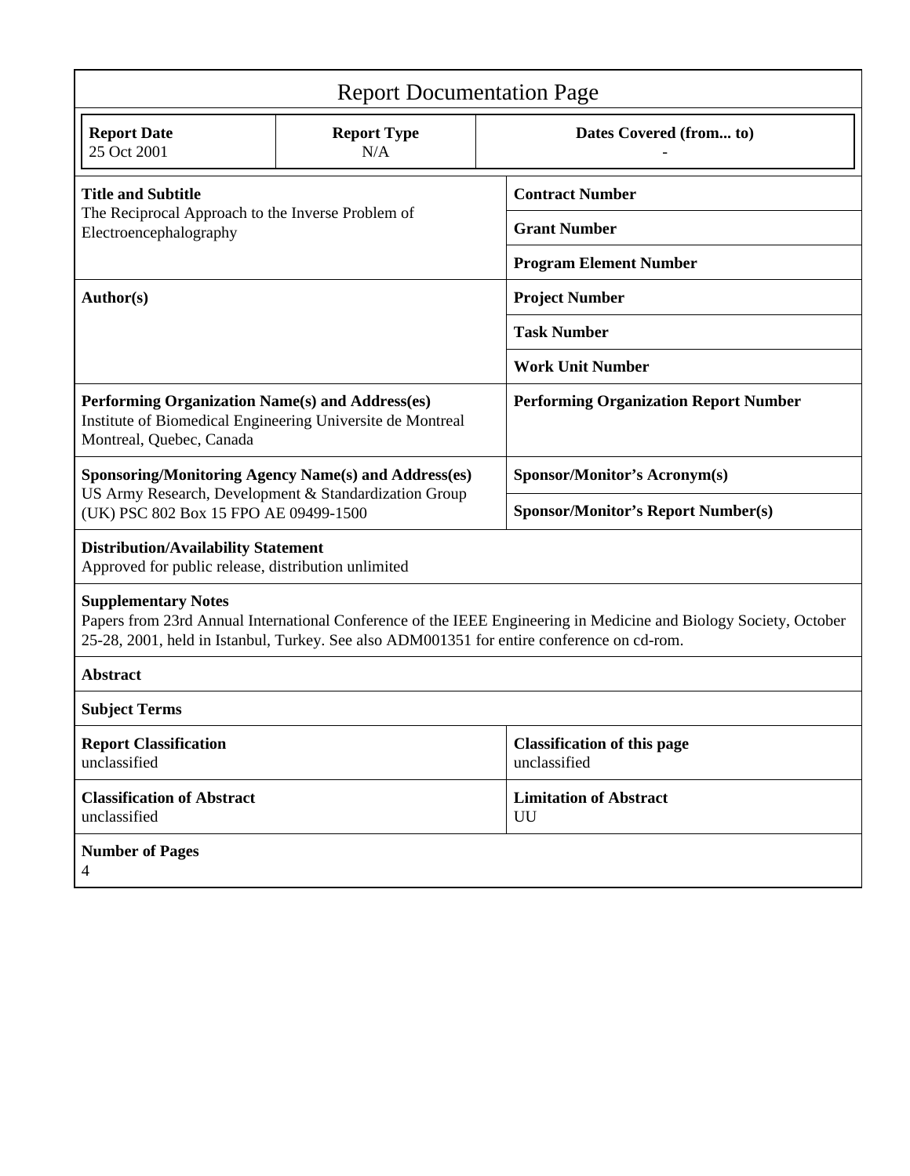| <b>Report Documentation Page</b>                                                                                                                                                                                                              |                                                             |                                                    |  |  |  |
|-----------------------------------------------------------------------------------------------------------------------------------------------------------------------------------------------------------------------------------------------|-------------------------------------------------------------|----------------------------------------------------|--|--|--|
| <b>Report Date</b><br>25 Oct 2001                                                                                                                                                                                                             | <b>Report Type</b><br>N/A                                   | Dates Covered (from to)                            |  |  |  |
| <b>Title and Subtitle</b>                                                                                                                                                                                                                     |                                                             | <b>Contract Number</b>                             |  |  |  |
| The Reciprocal Approach to the Inverse Problem of<br>Electroencephalography                                                                                                                                                                   |                                                             | <b>Grant Number</b>                                |  |  |  |
|                                                                                                                                                                                                                                               |                                                             | <b>Program Element Number</b>                      |  |  |  |
| Author(s)                                                                                                                                                                                                                                     |                                                             | <b>Project Number</b>                              |  |  |  |
|                                                                                                                                                                                                                                               |                                                             | <b>Task Number</b>                                 |  |  |  |
|                                                                                                                                                                                                                                               |                                                             | <b>Work Unit Number</b>                            |  |  |  |
| Performing Organization Name(s) and Address(es)<br>Institute of Biomedical Engineering Universite de Montreal<br>Montreal, Quebec, Canada                                                                                                     |                                                             | <b>Performing Organization Report Number</b>       |  |  |  |
|                                                                                                                                                                                                                                               | <b>Sponsoring/Monitoring Agency Name(s) and Address(es)</b> | <b>Sponsor/Monitor's Acronym(s)</b>                |  |  |  |
| US Army Research, Development & Standardization Group<br>(UK) PSC 802 Box 15 FPO AE 09499-1500                                                                                                                                                |                                                             | <b>Sponsor/Monitor's Report Number(s)</b>          |  |  |  |
| <b>Distribution/Availability Statement</b><br>Approved for public release, distribution unlimited                                                                                                                                             |                                                             |                                                    |  |  |  |
| <b>Supplementary Notes</b><br>Papers from 23rd Annual International Conference of the IEEE Engineering in Medicine and Biology Society, October<br>25-28, 2001, held in Istanbul, Turkey. See also ADM001351 for entire conference on cd-rom. |                                                             |                                                    |  |  |  |
| <b>Abstract</b>                                                                                                                                                                                                                               |                                                             |                                                    |  |  |  |
| <b>Subject Terms</b>                                                                                                                                                                                                                          |                                                             |                                                    |  |  |  |
| <b>Report Classification</b><br>unclassified                                                                                                                                                                                                  |                                                             | <b>Classification of this page</b><br>unclassified |  |  |  |
| <b>Classification of Abstract</b><br>unclassified                                                                                                                                                                                             |                                                             | <b>Limitation of Abstract</b><br>UU                |  |  |  |
| <b>Number of Pages</b><br>$\overline{4}$                                                                                                                                                                                                      |                                                             |                                                    |  |  |  |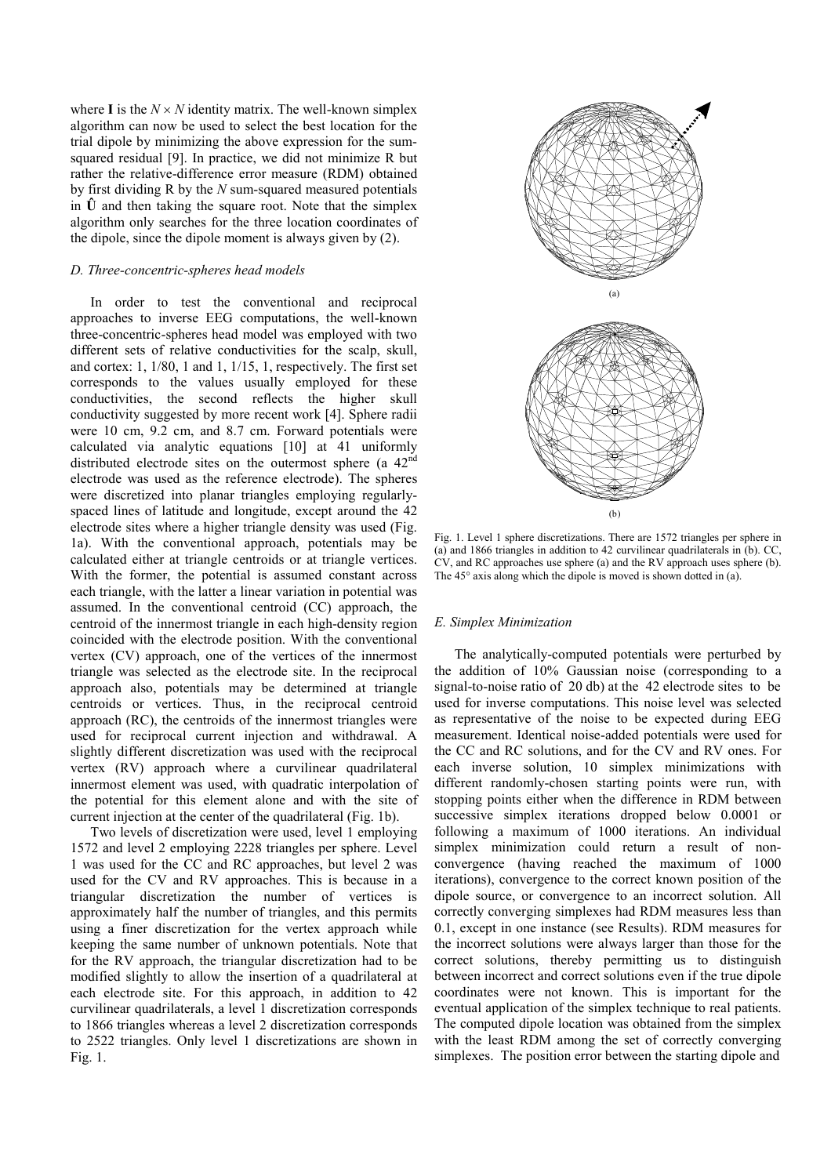where **I** is the  $N \times N$  identity matrix. The well-known simplex algorithm can now be used to select the best location for the trial dipole by minimizing the above expression for the sumsquared residual [9]. In practice, we did not minimize R but rather the relative-difference error measure (RDM) obtained by first dividing R by the *N* sum-squared measured potentials in  $\hat{U}$  and then taking the square root. Note that the simplex algorithm only searches for the three location coordinates of the dipole, since the dipole moment is always given by (2).

# *D. Three-concentric-spheres head models*

In order to test the conventional and reciprocal approaches to inverse EEG computations, the well-known three-concentric-spheres head model was employed with two different sets of relative conductivities for the scalp, skull, and cortex: 1, 1/80, 1 and 1, 1/15, 1, respectively. The first set corresponds to the values usually employed for these conductivities, the second reflects the higher skull conductivity suggested by more recent work [4]. Sphere radii were 10 cm, 9.2 cm, and 8.7 cm. Forward potentials were calculated via analytic equations [10] at 41 uniformly distributed electrode sites on the outermost sphere (a 42<sup>nd</sup> electrode was used as the reference electrode). The spheres were discretized into planar triangles employing regularlyspaced lines of latitude and longitude, except around the 42 electrode sites where a higher triangle density was used (Fig. 1a). With the conventional approach, potentials may be calculated either at triangle centroids or at triangle vertices. With the former, the potential is assumed constant across each triangle, with the latter a linear variation in potential was assumed. In the conventional centroid (CC) approach, the centroid of the innermost triangle in each high-density region coincided with the electrode position. With the conventional vertex (CV) approach, one of the vertices of the innermost triangle was selected as the electrode site. In the reciprocal approach also, potentials may be determined at triangle centroids or vertices. Thus, in the reciprocal centroid approach (RC), the centroids of the innermost triangles were used for reciprocal current injection and withdrawal. A slightly different discretization was used with the reciprocal vertex (RV) approach where a curvilinear quadrilateral innermost element was used, with quadratic interpolation of the potential for this element alone and with the site of current injection at the center of the quadrilateral (Fig. 1b).

Two levels of discretization were used, level 1 employing 1572 and level 2 employing 2228 triangles per sphere. Level 1 was used for the CC and RC approaches, but level 2 was used for the CV and RV approaches. This is because in a triangular discretization the number of vertices is approximately half the number of triangles, and this permits using a finer discretization for the vertex approach while keeping the same number of unknown potentials. Note that for the RV approach, the triangular discretization had to be modified slightly to allow the insertion of a quadrilateral at each electrode site. For this approach, in addition to 42 curvilinear quadrilaterals, a level 1 discretization corresponds to 1866 triangles whereas a level 2 discretization corresponds to 2522 triangles. Only level 1 discretizations are shown in Fig. 1.



Fig. 1. Level 1 sphere discretizations. There are 1572 triangles per sphere in (a) and 1866 triangles in addition to 42 curvilinear quadrilaterals in (b). CC, CV, and RC approaches use sphere (a) and the RV approach uses sphere (b). The 45° axis along which the dipole is moved is shown dotted in (a).

# *E. Simplex Minimization*

The analytically-computed potentials were perturbed by the addition of 10% Gaussian noise (corresponding to a signal-to-noise ratio of 20 db) at the 42 electrode sites to be used for inverse computations. This noise level was selected as representative of the noise to be expected during EEG measurement. Identical noise-added potentials were used for the CC and RC solutions, and for the CV and RV ones. For each inverse solution, 10 simplex minimizations with different randomly-chosen starting points were run, with stopping points either when the difference in RDM between successive simplex iterations dropped below 0.0001 or following a maximum of 1000 iterations. An individual simplex minimization could return a result of nonconvergence (having reached the maximum of 1000 iterations), convergence to the correct known position of the dipole source, or convergence to an incorrect solution. All correctly converging simplexes had RDM measures less than 0.1, except in one instance (see Results). RDM measures for the incorrect solutions were always larger than those for the correct solutions, thereby permitting us to distinguish between incorrect and correct solutions even if the true dipole coordinates were not known. This is important for the eventual application of the simplex technique to real patients. The computed dipole location was obtained from the simplex with the least RDM among the set of correctly converging simplexes. The position error between the starting dipole and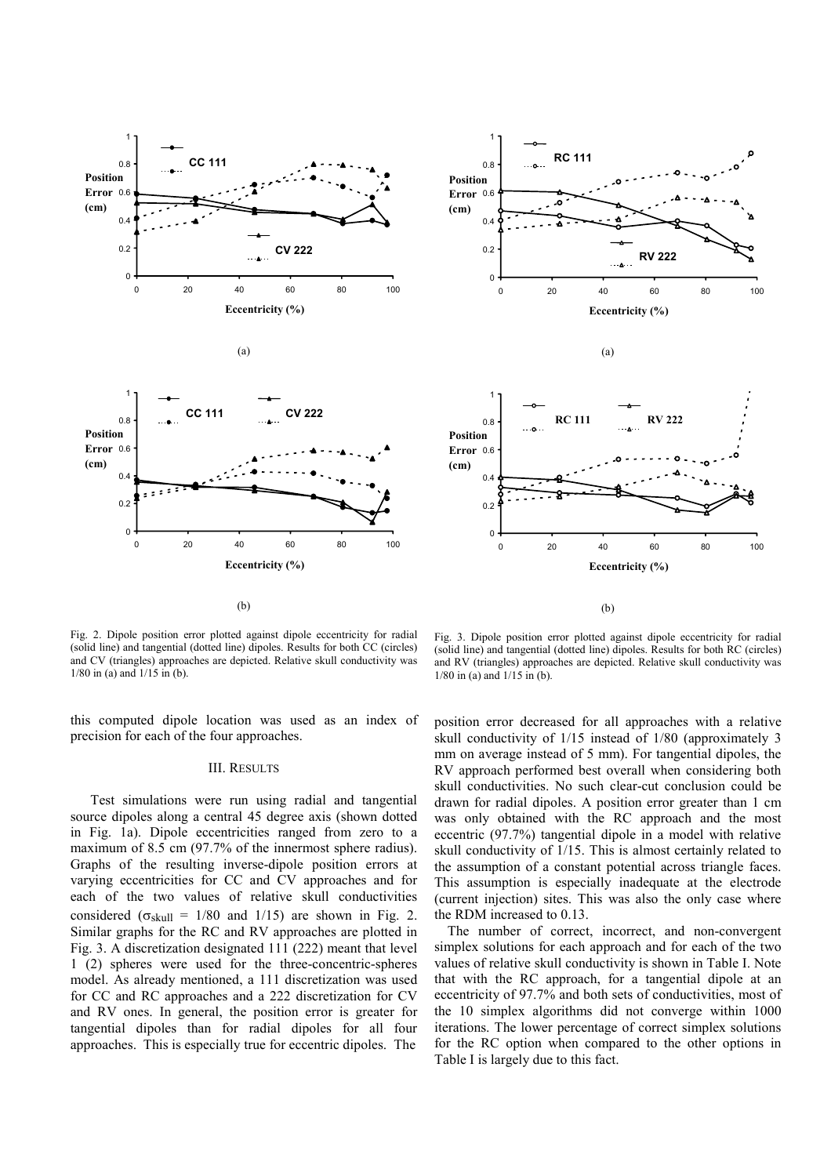



Fig. 2. Dipole position error plotted against dipole eccentricity for radial (solid line) and tangential (dotted line) dipoles. Results for both CC (circles) and CV (triangles) approaches are depicted. Relative skull conductivity was 1/80 in (a) and 1/15 in (b).

this computed dipole location was used as an index of precision for each of the four approaches.

## III. RESULTS

Test simulations were run using radial and tangential source dipoles along a central 45 degree axis (shown dotted in Fig. 1a). Dipole eccentricities ranged from zero to a maximum of 8.5 cm (97.7% of the innermost sphere radius). Graphs of the resulting inverse-dipole position errors at varying eccentricities for CC and CV approaches and for each of the two values of relative skull conductivities considered ( $\sigma_{\text{skull}} = 1/80$  and  $1/15$ ) are shown in Fig. 2. Similar graphs for the RC and RV approaches are plotted in Fig. 3. A discretization designated 111 (222) meant that level 1 (2) spheres were used for the three-concentric-spheres model. As already mentioned, a 111 discretization was used for CC and RC approaches and a 222 discretization for CV and RV ones. In general, the position error is greater for tangential dipoles than for radial dipoles for all four approaches. This is especially true for eccentric dipoles. The

Fig. 3. Dipole position error plotted against dipole eccentricity for radial (solid line) and tangential (dotted line) dipoles. Results for both RC (circles) and RV (triangles) approaches are depicted. Relative skull conductivity was 1/80 in (a) and 1/15 in (b).

position error decreased for all approaches with a relative skull conductivity of 1/15 instead of 1/80 (approximately 3 mm on average instead of 5 mm). For tangential dipoles, the RV approach performed best overall when considering both skull conductivities. No such clear-cut conclusion could be drawn for radial dipoles. A position error greater than 1 cm was only obtained with the RC approach and the most eccentric (97.7%) tangential dipole in a model with relative skull conductivity of 1/15. This is almost certainly related to the assumption of a constant potential across triangle faces. This assumption is especially inadequate at the electrode (current injection) sites. This was also the only case where the RDM increased to 0.13.

The number of correct, incorrect, and non-convergent simplex solutions for each approach and for each of the two values of relative skull conductivity is shown in Table I. Note that with the RC approach, for a tangential dipole at an eccentricity of 97.7% and both sets of conductivities, most of the 10 simplex algorithms did not converge within 1000 iterations. The lower percentage of correct simplex solutions for the RC option when compared to the other options in Table I is largely due to this fact.